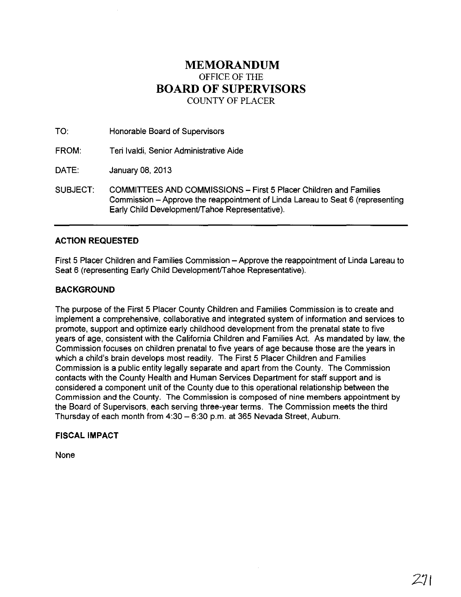# **MEMORANDUM**  OFFICE OF THE **BOARD OF SUPERVISORS**  COUNTY OF PLACER

TO: Honorable Board of Supervisors

FROM: Teri Ivaldi, Senior Administrative Aide

DATE: January 08, 2013

SUBJECT: COMMITTEES AND COMMISSIONS - First 5 Placer Children and Families Commission - Approve the reappointment of Linda Lareau to Seat 6 (representing Early Child Development/Tahoe Representative).

## **ACTION REQUESTED**

First 5 Placer Children and Families Commission – Approve the reappointment of Linda Lareau to Seat 6 (representing Early Child Development/Tahoe Representative).

## **BACKGROUND**

The purpose of the First 5 Placer County Children and Families Commission is to create and implement a comprehensive, collaborative and integrated system of information and services to promote, support and optimize early childhood development from the prenatal state to five years of age, consistent with the California Children and Families Act. As mandated by law, the Commission focuses on children prenatal to five years of age because those are the years in which a child's brain develops most readily. The First 5 Placer Children and Families Commission is a public entity legally separate and apart from the County. The Commission contacts with the County Health and Human Services Department for staff support and is considered a component unit of the County due to this operational relationship between the Commission and the County. The Commission is composed of nine members appointment by the Board of Supervisors, each serving three-year terms. The Commission meets the third Thursday of each month from 4:30 - 6:30 p.m. at 365 Nevada Street, Auburn.

## **FISCAL IMPACT**

None